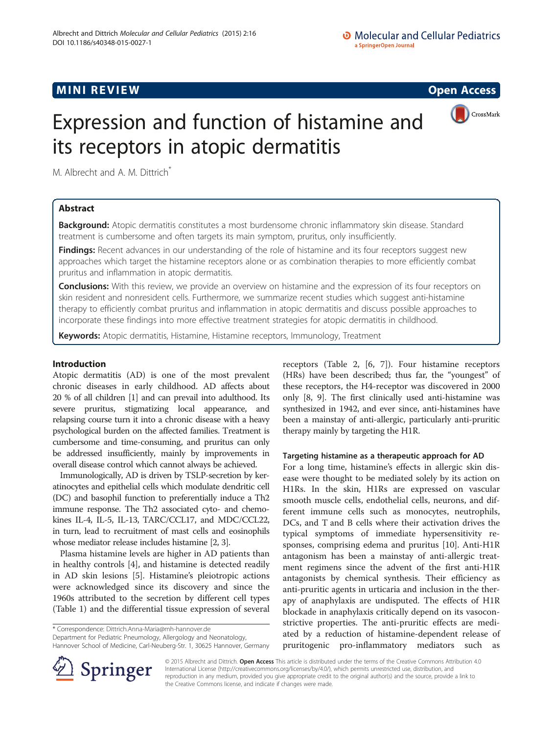# MINI REVIEW AND REVIEW CONTROL CONTROL CONTROL CONTROL CONTROL CONTROL CONTROL CONTROL CONTROL CONTROL CONTROL



# Expression and function of histamine and its receptors in atopic dermatitis

M. Albrecht and A. M. Dittrich<sup>\*</sup>

# Abstract

Background: Atopic dermatitis constitutes a most burdensome chronic inflammatory skin disease. Standard treatment is cumbersome and often targets its main symptom, pruritus, only insufficiently.

Findings: Recent advances in our understanding of the role of histamine and its four receptors suggest new approaches which target the histamine receptors alone or as combination therapies to more efficiently combat pruritus and inflammation in atopic dermatitis.

**Conclusions:** With this review, we provide an overview on histamine and the expression of its four receptors on skin resident and nonresident cells. Furthermore, we summarize recent studies which suggest anti-histamine therapy to efficiently combat pruritus and inflammation in atopic dermatitis and discuss possible approaches to incorporate these findings into more effective treatment strategies for atopic dermatitis in childhood.

Keywords: Atopic dermatitis, Histamine, Histamine receptors, Immunology, Treatment

## Introduction

Atopic dermatitis (AD) is one of the most prevalent chronic diseases in early childhood. AD affects about 20 % of all children [\[1\]](#page-4-0) and can prevail into adulthood. Its severe pruritus, stigmatizing local appearance, and relapsing course turn it into a chronic disease with a heavy psychological burden on the affected families. Treatment is cumbersome and time-consuming, and pruritus can only be addressed insufficiently, mainly by improvements in overall disease control which cannot always be achieved.

Immunologically, AD is driven by TSLP-secretion by keratinocytes and epithelial cells which modulate dendritic cell (DC) and basophil function to preferentially induce a Th2 immune response. The Th2 associated cyto- and chemokines IL-4, IL-5, IL-13, TARC/CCL17, and MDC/CCL22, in turn, lead to recruitment of mast cells and eosinophils whose mediator release includes histamine [\[2,](#page-4-0) [3](#page-5-0)].

Plasma histamine levels are higher in AD patients than in healthy controls [[4\]](#page-5-0), and histamine is detected readily in AD skin lesions [[5\]](#page-5-0). Histamine's pleiotropic actions were acknowledged since its discovery and since the 1960s attributed to the secretion by different cell types (Table [1](#page-1-0)) and the differential tissue expression of several

\* Correspondence: [Dittrich.Anna-Maria@mh-hannover.de](mailto:Dittrich.Anna-Maria@mh-hannover.de)

Department for Pediatric Pneumology, Allergology and Neonatology,

Hannover School of Medicine, Carl-Neuberg-Str. 1, 30625 Hannover, Germany

receptors (Table [2](#page-1-0), [[6, 7\]](#page-5-0)). Four histamine receptors (HRs) have been described; thus far, the "youngest" of these receptors, the H4-receptor was discovered in 2000 only [[8, 9\]](#page-5-0). The first clinically used anti-histamine was synthesized in 1942, and ever since, anti-histamines have been a mainstay of anti-allergic, particularly anti-pruritic therapy mainly by targeting the H1R.

## Targeting histamine as a therapeutic approach for AD

For a long time, histamine's effects in allergic skin disease were thought to be mediated solely by its action on H1Rs. In the skin, H1Rs are expressed on vascular smooth muscle cells, endothelial cells, neurons, and different immune cells such as monocytes, neutrophils, DCs, and T and B cells where their activation drives the typical symptoms of immediate hypersensitivity responses, comprising edema and pruritus [[10](#page-5-0)]. Anti-H1R antagonism has been a mainstay of anti-allergic treatment regimens since the advent of the first anti-H1R antagonists by chemical synthesis. Their efficiency as anti-pruritic agents in urticaria and inclusion in the therapy of anaphylaxis are undisputed. The effects of H1R blockade in anaphylaxis critically depend on its vasoconstrictive properties. The anti-pruritic effects are mediated by a reduction of histamine-dependent release of pruritogenic pro-inflammatory mediators such as



© 2015 Albrecht and Dittrich. Open Access This article is distributed under the terms of the Creative Commons Attribution 4.0 International License ([http://creativecommons.org/licenses/by/4.0/\)](http://creativecommons.org/licenses/by/4.0/), which permits unrestricted use, distribution, and reproduction in any medium, provided you give appropriate credit to the original author(s) and the source, provide a link to the Creative Commons license, and indicate if changes were made.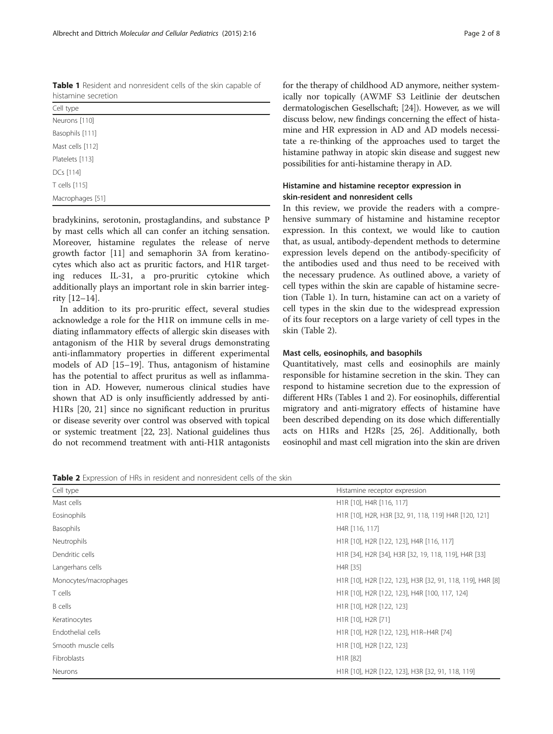bradykinins, serotonin, prostaglandins, and substance P by mast cells which all can confer an itching sensation. Moreover, histamine regulates the release of nerve growth factor [[11\]](#page-5-0) and semaphorin 3A from keratinocytes which also act as pruritic factors, and H1R targeting reduces IL-31, a pro-pruritic cytokine which additionally plays an important role in skin barrier integrity [[12](#page-5-0)–[14](#page-5-0)].

In addition to its pro-pruritic effect, several studies acknowledge a role for the H1R on immune cells in mediating inflammatory effects of allergic skin diseases with antagonism of the H1R by several drugs demonstrating anti-inflammatory properties in different experimental models of AD [\[15](#page-5-0)–[19\]](#page-5-0). Thus, antagonism of histamine has the potential to affect pruritus as well as inflammation in AD. However, numerous clinical studies have shown that AD is only insufficiently addressed by anti-H1Rs [\[20, 21\]](#page-5-0) since no significant reduction in pruritus or disease severity over control was observed with topical or systemic treatment [[22](#page-5-0), [23\]](#page-5-0). National guidelines thus do not recommend treatment with anti-H1R antagonists for the therapy of childhood AD anymore, neither systemically nor topically (AWMF S3 Leitlinie der deutschen dermatologischen Gesellschaft; [[24](#page-5-0)]). However, as we will discuss below, new findings concerning the effect of histamine and HR expression in AD and AD models necessitate a re-thinking of the approaches used to target the histamine pathway in atopic skin disease and suggest new possibilities for anti-histamine therapy in AD.

## Histamine and histamine receptor expression in skin-resident and nonresident cells

In this review, we provide the readers with a comprehensive summary of histamine and histamine receptor expression. In this context, we would like to caution that, as usual, antibody-dependent methods to determine expression levels depend on the antibody-specificity of the antibodies used and thus need to be received with the necessary prudence. As outlined above, a variety of cell types within the skin are capable of histamine secretion (Table 1). In turn, histamine can act on a variety of cell types in the skin due to the widespread expression of its four receptors on a large variety of cell types in the skin (Table 2).

## Mast cells, eosinophils, and basophils

Quantitatively, mast cells and eosinophils are mainly responsible for histamine secretion in the skin. They can respond to histamine secretion due to the expression of different HRs (Tables 1 and 2). For eosinophils, differential migratory and anti-migratory effects of histamine have been described depending on its dose which differentially acts on H1Rs and H2Rs [[25](#page-5-0), [26](#page-5-0)]. Additionally, both eosinophil and mast cell migration into the skin are driven

Table 2 Expression of HRs in resident and nonresident cells of the skin

| Cell type             | Histamine receptor expression                                             |  |  |
|-----------------------|---------------------------------------------------------------------------|--|--|
| Mast cells            | H1R [10], H4R [116, 117]                                                  |  |  |
| Eosinophils           | H1R [10], H2R, H3R [32, 91, 118, 119] H4R [120, 121]                      |  |  |
| Basophils             | H4R [116, 117]                                                            |  |  |
| Neutrophils           | H1R [10], H2R [122, 123], H4R [116, 117]                                  |  |  |
| Dendritic cells       | H1R [34], H2R [34], H3R [32, 19, 118, 119], H4R [33]                      |  |  |
| Langerhans cells      | H4R [35]                                                                  |  |  |
| Monocytes/macrophages | H1R [10], H2R [122, 123], H3R [32, 91, 118, 119], H4R [8]                 |  |  |
| T cells               | H1R [10], H2R [122, 123], H4R [100, 117, 124]                             |  |  |
| <b>B</b> cells        | H <sub>1</sub> R <sub>[10]</sub> , H <sub>2</sub> R <sub>[122, 123]</sub> |  |  |
| Keratinocytes         | H1R [10], H2R [71]                                                        |  |  |
| Endothelial cells     | H1R [10], H2R [122, 123], H1R-H4R [74]                                    |  |  |
| Smooth muscle cells   | H1R [10], H2R [122, 123]                                                  |  |  |
| Fibroblasts           | H1R [82]                                                                  |  |  |
| Neurons               | H1R [10], H2R [122, 123], H3R [32, 91, 118, 119]                          |  |  |

<span id="page-1-0"></span>Table 1 Resident and nonresident cells of the skin capable of histamine secretion

| Cell type        |  |  |
|------------------|--|--|
| Neurons [110]    |  |  |
| Basophils [111]  |  |  |
| Mast cells [112] |  |  |
| Platelets [113]  |  |  |
| DCs [114]        |  |  |
| T cells [115]    |  |  |
| Macrophages [51] |  |  |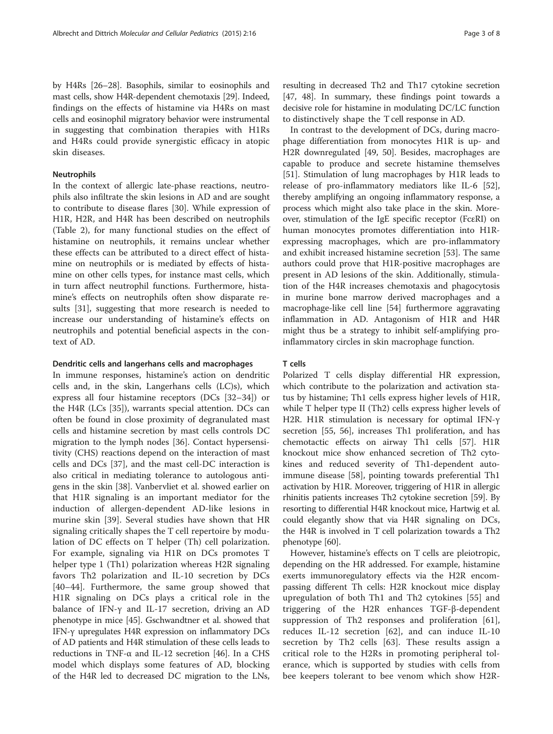by H4Rs [[26](#page-5-0)–[28\]](#page-5-0). Basophils, similar to eosinophils and mast cells, show H4R-dependent chemotaxis [\[29\]](#page-5-0). Indeed, findings on the effects of histamine via H4Rs on mast cells and eosinophil migratory behavior were instrumental in suggesting that combination therapies with H1Rs and H4Rs could provide synergistic efficacy in atopic skin diseases.

### Neutrophils

In the context of allergic late-phase reactions, neutrophils also infiltrate the skin lesions in AD and are sought to contribute to disease flares [\[30\]](#page-5-0). While expression of H1R, H2R, and H4R has been described on neutrophils (Table [2\)](#page-1-0), for many functional studies on the effect of histamine on neutrophils, it remains unclear whether these effects can be attributed to a direct effect of histamine on neutrophils or is mediated by effects of histamine on other cells types, for instance mast cells, which in turn affect neutrophil functions. Furthermore, histamine's effects on neutrophils often show disparate results [\[31](#page-5-0)], suggesting that more research is needed to increase our understanding of histamine's effects on neutrophils and potential beneficial aspects in the context of AD.

### Dendritic cells and langerhans cells and macrophages

In immune responses, histamine's action on dendritic cells and, in the skin, Langerhans cells (LC)s), which express all four histamine receptors (DCs [[32](#page-5-0)–[34](#page-5-0)]) or the H4R (LCs [[35\]](#page-5-0)), warrants special attention. DCs can often be found in close proximity of degranulated mast cells and histamine secretion by mast cells controls DC migration to the lymph nodes [\[36\]](#page-5-0). Contact hypersensitivity (CHS) reactions depend on the interaction of mast cells and DCs [\[37\]](#page-5-0), and the mast cell-DC interaction is also critical in mediating tolerance to autologous antigens in the skin [[38](#page-5-0)]. Vanbervliet et al. showed earlier on that H1R signaling is an important mediator for the induction of allergen-dependent AD-like lesions in murine skin [\[39](#page-5-0)]. Several studies have shown that HR signaling critically shapes the T cell repertoire by modulation of DC effects on T helper (Th) cell polarization. For example, signaling via H1R on DCs promotes T helper type 1 (Th1) polarization whereas H2R signaling favors Th2 polarization and IL-10 secretion by DCs [[40](#page-5-0)–[44\]](#page-5-0). Furthermore, the same group showed that H1R signaling on DCs plays a critical role in the balance of IFN-γ and IL-17 secretion, driving an AD phenotype in mice [[45](#page-5-0)]. Gschwandtner et al. showed that IFN-γ upregulates H4R expression on inflammatory DCs of AD patients and H4R stimulation of these cells leads to reductions in TNF- $\alpha$  and IL-12 secretion [[46](#page-5-0)]. In a CHS model which displays some features of AD, blocking of the H4R led to decreased DC migration to the LNs, resulting in decreased Th2 and Th17 cytokine secretion [[47](#page-6-0), [48\]](#page-6-0). In summary, these findings point towards a decisive role for histamine in modulating DC/LC function to distinctively shape the T cell response in AD.

In contrast to the development of DCs, during macrophage differentiation from monocytes H1R is up- and H2R downregulated [[49](#page-6-0), [50\]](#page-6-0). Besides, macrophages are capable to produce and secrete histamine themselves [[51\]](#page-6-0). Stimulation of lung macrophages by H1R leads to release of pro-inflammatory mediators like IL-6 [\[52](#page-6-0)], thereby amplifying an ongoing inflammatory response, a process which might also take place in the skin. Moreover, stimulation of the IgE specific receptor (FcεRI) on human monocytes promotes differentiation into H1Rexpressing macrophages, which are pro-inflammatory and exhibit increased histamine secretion [[53\]](#page-6-0). The same authors could prove that H1R-positive macrophages are present in AD lesions of the skin. Additionally, stimulation of the H4R increases chemotaxis and phagocytosis in murine bone marrow derived macrophages and a macrophage-like cell line [\[54](#page-6-0)] furthermore aggravating inflammation in AD. Antagonism of H1R and H4R might thus be a strategy to inhibit self-amplifying proinflammatory circles in skin macrophage function.

### T cells

Polarized T cells display differential HR expression, which contribute to the polarization and activation status by histamine; Th1 cells express higher levels of H1R, while T helper type II (Th2) cells express higher levels of H2R. H1R stimulation is necessary for optimal IFN-γ secretion [\[55](#page-6-0), [56\]](#page-6-0), increases Th1 proliferation, and has chemotactic effects on airway Th1 cells [[57\]](#page-6-0). H1R knockout mice show enhanced secretion of Th2 cytokines and reduced severity of Th1-dependent autoimmune disease [\[58](#page-6-0)], pointing towards preferential Th1 activation by H1R. Moreover, triggering of H1R in allergic rhinitis patients increases Th2 cytokine secretion [\[59\]](#page-6-0). By resorting to differential H4R knockout mice, Hartwig et al. could elegantly show that via H4R signaling on DCs, the H4R is involved in T cell polarization towards a Th2 phenotype [\[60\]](#page-6-0).

However, histamine's effects on T cells are pleiotropic, depending on the HR addressed. For example, histamine exerts immunoregulatory effects via the H2R encompassing different Th cells: H2R knockout mice display upregulation of both Th1 and Th2 cytokines [[55\]](#page-6-0) and triggering of the H2R enhances TGF-β-dependent suppression of Th2 responses and proliferation [\[61](#page-6-0)], reduces IL-12 secretion [[62\]](#page-6-0), and can induce IL-10 secretion by Th2 cells [[63\]](#page-6-0). These results assign a critical role to the H2Rs in promoting peripheral tolerance, which is supported by studies with cells from bee keepers tolerant to bee venom which show H2R-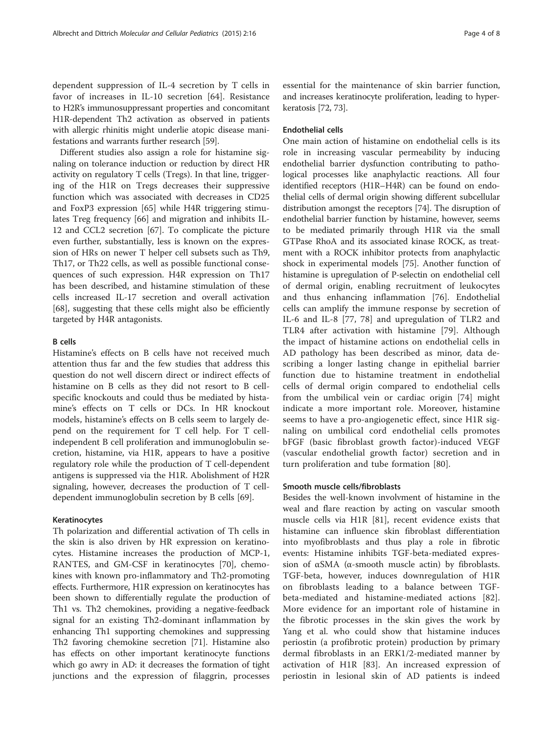dependent suppression of IL-4 secretion by T cells in favor of increases in IL-10 secretion [[64\]](#page-6-0). Resistance to H2R's immunosuppressant properties and concomitant H1R-dependent Th2 activation as observed in patients with allergic rhinitis might underlie atopic disease manifestations and warrants further research [\[59](#page-6-0)].

Different studies also assign a role for histamine signaling on tolerance induction or reduction by direct HR activity on regulatory T cells (Tregs). In that line, triggering of the H1R on Tregs decreases their suppressive function which was associated with decreases in CD25 and FoxP3 expression [\[65](#page-6-0)] while H4R triggering stimulates Treg frequency [[66](#page-6-0)] and migration and inhibits IL-12 and CCL2 secretion [[67](#page-6-0)]. To complicate the picture even further, substantially, less is known on the expression of HRs on newer T helper cell subsets such as Th9, Th17, or Th22 cells, as well as possible functional consequences of such expression. H4R expression on Th17 has been described, and histamine stimulation of these cells increased IL-17 secretion and overall activation [[68\]](#page-6-0), suggesting that these cells might also be efficiently targeted by H4R antagonists.

#### B cells

Histamine's effects on B cells have not received much attention thus far and the few studies that address this question do not well discern direct or indirect effects of histamine on B cells as they did not resort to B cellspecific knockouts and could thus be mediated by histamine's effects on T cells or DCs. In HR knockout models, histamine's effects on B cells seem to largely depend on the requirement for T cell help. For T cellindependent B cell proliferation and immunoglobulin secretion, histamine, via H1R, appears to have a positive regulatory role while the production of T cell-dependent antigens is suppressed via the H1R. Abolishment of H2R signaling, however, decreases the production of T celldependent immunoglobulin secretion by B cells [[69](#page-6-0)].

### Keratinocytes

Th polarization and differential activation of Th cells in the skin is also driven by HR expression on keratinocytes. Histamine increases the production of MCP-1, RANTES, and GM-CSF in keratinocytes [\[70](#page-6-0)], chemokines with known pro-inflammatory and Th2-promoting effects. Furthermore, H1R expression on keratinocytes has been shown to differentially regulate the production of Th1 vs. Th2 chemokines, providing a negative-feedback signal for an existing Th2-dominant inflammation by enhancing Th1 supporting chemokines and suppressing Th2 favoring chemokine secretion [[71](#page-6-0)]. Histamine also has effects on other important keratinocyte functions which go awry in AD: it decreases the formation of tight junctions and the expression of filaggrin, processes

essential for the maintenance of skin barrier function, and increases keratinocyte proliferation, leading to hyperkeratosis [\[72](#page-6-0), [73](#page-6-0)].

## Endothelial cells

One main action of histamine on endothelial cells is its role in increasing vascular permeability by inducing endothelial barrier dysfunction contributing to pathological processes like anaphylactic reactions. All four identified receptors (H1R–H4R) can be found on endothelial cells of dermal origin showing different subcellular distribution amongst the receptors [\[74\]](#page-6-0). The disruption of endothelial barrier function by histamine, however, seems to be mediated primarily through H1R via the small GTPase RhoA and its associated kinase ROCK, as treatment with a ROCK inhibitor protects from anaphylactic shock in experimental models [\[75\]](#page-6-0). Another function of histamine is upregulation of P-selectin on endothelial cell of dermal origin, enabling recruitment of leukocytes and thus enhancing inflammation [[76\]](#page-6-0). Endothelial cells can amplify the immune response by secretion of IL-6 and IL-8 [[77, 78](#page-6-0)] and upregulation of TLR2 and TLR4 after activation with histamine [\[79](#page-6-0)]. Although the impact of histamine actions on endothelial cells in AD pathology has been described as minor, data describing a longer lasting change in epithelial barrier function due to histamine treatment in endothelial cells of dermal origin compared to endothelial cells from the umbilical vein or cardiac origin [[74\]](#page-6-0) might indicate a more important role. Moreover, histamine seems to have a pro-angiogenetic effect, since H1R signaling on umbilical cord endothelial cells promotes bFGF (basic fibroblast growth factor)-induced VEGF (vascular endothelial growth factor) secretion and in turn proliferation and tube formation [[80\]](#page-6-0).

#### Smooth muscle cells/fibroblasts

Besides the well-known involvment of histamine in the weal and flare reaction by acting on vascular smooth muscle cells via H1R [\[81\]](#page-6-0), recent evidence exists that histamine can influence skin fibroblast differentiation into myofibroblasts and thus play a role in fibrotic events: Histamine inhibits TGF-beta-mediated expression of  $αSMA$  ( $α$ -smooth muscle actin) by fibroblasts. TGF-beta, however, induces downregulation of H1R on fibroblasts leading to a balance between TGFbeta-mediated and histamine-mediated actions [\[82](#page-6-0)]. More evidence for an important role of histamine in the fibrotic processes in the skin gives the work by Yang et al. who could show that histamine induces periostin (a profibrotic protein) production by primary dermal fibroblasts in an ERK1/2-mediated manner by activation of H1R [\[83](#page-6-0)]. An increased expression of periostin in lesional skin of AD patients is indeed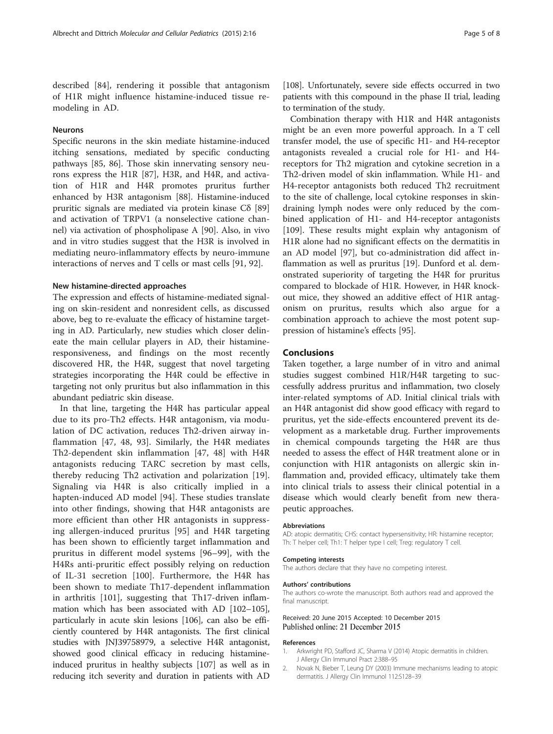## <span id="page-4-0"></span>Neurons

Specific neurons in the skin mediate histamine-induced itching sensations, mediated by specific conducting pathways [\[85](#page-6-0), [86](#page-6-0)]. Those skin innervating sensory neurons express the H1R [[87\]](#page-6-0), H3R, and H4R, and activation of H1R and H4R promotes pruritus further enhanced by H3R antagonism [[88](#page-6-0)]. Histamine-induced pruritic signals are mediated via protein kinase Cδ [[89](#page-6-0)] and activation of TRPV1 (a nonselective catione channel) via activation of phospholipase A [[90\]](#page-6-0). Also, in vivo and in vitro studies suggest that the H3R is involved in mediating neuro-inflammatory effects by neuro-immune interactions of nerves and T cells or mast cells [\[91](#page-6-0), [92](#page-7-0)].

#### New histamine-directed approaches

The expression and effects of histamine-mediated signaling on skin-resident and nonresident cells, as discussed above, beg to re-evaluate the efficacy of histamine targeting in AD. Particularly, new studies which closer delineate the main cellular players in AD, their histamineresponsiveness, and findings on the most recently discovered HR, the H4R, suggest that novel targeting strategies incorporating the H4R could be effective in targeting not only pruritus but also inflammation in this abundant pediatric skin disease.

In that line, targeting the H4R has particular appeal due to its pro-Th2 effects. H4R antagonism, via modulation of DC activation, reduces Th2-driven airway inflammation [[47, 48](#page-6-0), [93](#page-7-0)]. Similarly, the H4R mediates Th2-dependent skin inflammation [[47, 48](#page-6-0)] with H4R antagonists reducing TARC secretion by mast cells, thereby reducing Th2 activation and polarization [[19](#page-5-0)]. Signaling via H4R is also critically implied in a hapten-induced AD model [[94\]](#page-7-0). These studies translate into other findings, showing that H4R antagonists are more efficient than other HR antagonists in suppressing allergen-induced pruritus [\[95](#page-7-0)] and H4R targeting has been shown to efficiently target inflammation and pruritus in different model systems [\[96](#page-7-0)–[99](#page-7-0)], with the H4Rs anti-pruritic effect possibly relying on reduction of IL-31 secretion [[100\]](#page-7-0). Furthermore, the H4R has been shown to mediate Th17-dependent inflammation in arthritis [\[101](#page-7-0)], suggesting that Th17-driven inflammation which has been associated with AD [[102](#page-7-0)–[105](#page-7-0)], particularly in acute skin lesions [\[106](#page-7-0)], can also be efficiently countered by H4R antagonists. The first clinical studies with JNJ39758979, a selective H4R antagonist, showed good clinical efficacy in reducing histamineinduced pruritus in healthy subjects [[107](#page-7-0)] as well as in reducing itch severity and duration in patients with AD [[108](#page-7-0)]. Unfortunately, severe side effects occurred in two patients with this compound in the phase II trial, leading to termination of the study.

Combination therapy with H1R and H4R antagonists might be an even more powerful approach. In a T cell transfer model, the use of specific H1- and H4-receptor antagonists revealed a crucial role for H1- and H4 receptors for Th2 migration and cytokine secretion in a Th2-driven model of skin inflammation. While H1- and H4-receptor antagonists both reduced Th2 recruitment to the site of challenge, local cytokine responses in skindraining lymph nodes were only reduced by the combined application of H1- and H4-receptor antagonists [[109\]](#page-7-0). These results might explain why antagonism of H1R alone had no significant effects on the dermatitis in an AD model [[97\]](#page-7-0), but co-administration did affect inflammation as well as pruritus [\[19](#page-5-0)]. Dunford et al. demonstrated superiority of targeting the H4R for pruritus compared to blockade of H1R. However, in H4R knockout mice, they showed an additive effect of H1R antagonism on pruritus, results which also argue for a combination approach to achieve the most potent suppression of histamine's effects [[95\]](#page-7-0).

### Conclusions

Taken together, a large number of in vitro and animal studies suggest combined H1R/H4R targeting to successfully address pruritus and inflammation, two closely inter-related symptoms of AD. Initial clinical trials with an H4R antagonist did show good efficacy with regard to pruritus, yet the side-effects encountered prevent its development as a marketable drug. Further improvements in chemical compounds targeting the H4R are thus needed to assess the effect of H4R treatment alone or in conjunction with H1R antagonists on allergic skin inflammation and, provided efficacy, ultimately take them into clinical trials to assess their clinical potential in a disease which would clearly benefit from new therapeutic approaches.

#### Abbreviations

AD: atopic dermatitis; CHS: contact hypersensitivity; HR: histamine receptor; Th: T helper cell; Th1: T helper type I cell; Treg: regulatory T cell.

#### Competing interests

The authors declare that they have no competing interest.

#### Authors' contributions

The authors co-wrote the manuscript. Both authors read and approved the final manuscript.

#### Received: 20 June 2015 Accepted: 10 December 2015 Published online: 21 December 2015

#### References

- 1. Arkwright PD, Stafford JC, Sharma V (2014) Atopic dermatitis in children. J Allergy Clin Immunol Pract 2:388–95
- 2. Novak N, Bieber T, Leung DY (2003) Immune mechanisms leading to atopic dermatitis. J Allergy Clin Immunol 112:S128–39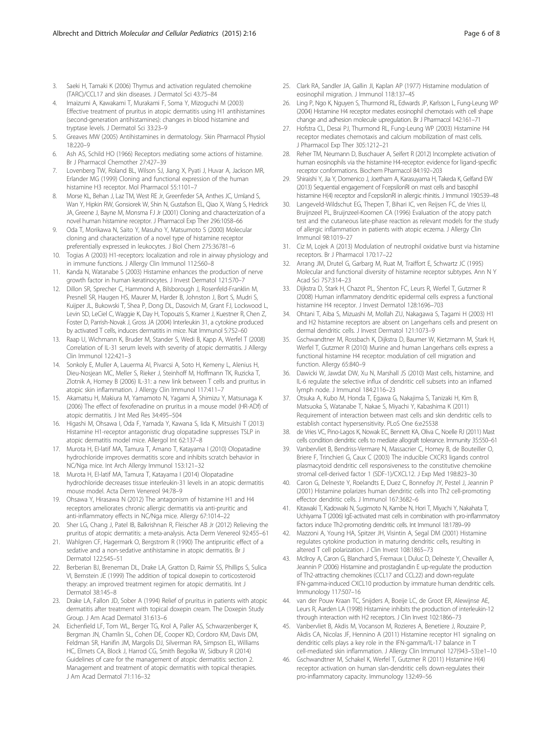- <span id="page-5-0"></span>3. Saeki H, Tamaki K (2006) Thymus and activation regulated chemokine (TARC)/CCL17 and skin diseases. J Dermatol Sci 43:75–84
- 4. Imaizumi A, Kawakami T, Murakami F, Soma Y, Mizoguchi M (2003) Effective treatment of pruritus in atopic dermatitis using H1 antihistamines (second-generation antihistamines): changes in blood histamine and tryptase levels. J Dermatol Sci 33:23–9
- 5. Greaves MW (2005) Antihistamines in dermatology. Skin Pharmacol Physiol 18:220–9
- 6. Ash AS, Schild HO (1966) Receptors mediating some actions of histamine. Br J Pharmacol Chemother 27:427–39
- Lovenberg TW, Roland BL, Wilson SJ, Jiang X, Pyati J, Huvar A, Jackson MR, Erlander MG (1999) Cloning and functional expression of the human histamine H3 receptor. Mol Pharmacol 55:1101–7
- 8. Morse KL, Behan J, Laz TM, West RE Jr, Greenfeder SA, Anthes JC, Umland S, Wan Y, Hipkin RW, Gonsiorek W, Shin N, Gustafson EL, Qiao X, Wang S, Hedrick JA, Greene J, Bayne M, Monsma FJ Jr (2001) Cloning and characterization of a novel human histamine receptor. J Pharmacol Exp Ther 296:1058–66
- 9. Oda T, Morikawa N, Saito Y, Masuho Y, Matsumoto S (2000) Molecular cloning and characterization of a novel type of histamine receptor preferentially expressed in leukocytes. J Biol Chem 275:36781–6
- 10. Togias A (2003) H1-receptors: localization and role in airway physiology and in immune functions. J Allergy Clin Immunol 112:S60–8
- 11. Kanda N, Watanabe S (2003) Histamine enhances the production of nerve growth factor in human keratinocytes. J Invest Dermatol 121:570–7
- 12. Dillon SR, Sprecher C, Hammond A, Bilsborough J, Rosenfeld-Franklin M, Presnell SR, Haugen HS, Maurer M, Harder B, Johnston J, Bort S, Mudri S, Kuijper JL, Bukowski T, Shea P, Dong DL, Dasovich M, Grant FJ, Lockwood L, Levin SD, LeCiel C, Waggie K, Day H, Topouzis S, Kramer J, Kuestner R, Chen Z, Foster D, Parrish-Novak J, Gross JA (2004) Interleukin 31, a cytokine produced by activated T cells, induces dermatitis in mice. Nat Immunol 5:752–60
- 13. Raap U, Wichmann K, Bruder M, Stander S, Wedi B, Kapp A, Werfel T (2008) Correlation of IL-31 serum levels with severity of atopic dermatitis. J Allergy Clin Immunol 122:421–3
- 14. Sonkoly E, Muller A, Lauerma AI, Pivarcsi A, Soto H, Kemeny L, Alenius H, Dieu-Nosjean MC, Meller S, Rieker J, Steinhoff M, Hoffmann TK, Ruzicka T, Zlotnik A, Homey B (2006) IL-31: a new link between T cells and pruritus in atopic skin inflammation. J Allergy Clin Immunol 117:411–7
- 15. Akamatsu H, Makiura M, Yamamoto N, Yagami A, Shimizu Y, Matsunaga K (2006) The effect of fexofenadine on pruritus in a mouse model (HR-ADf) of atopic dermatitis. J Int Med Res 34:495–504
- 16. Higashi M, Ohsawa I, Oda F, Yamada Y, Kawana S, Iida K, Mitsuishi T (2013) Histamine H1-receptor antagonistic drug olopatadine suppresses TSLP in atopic dermatitis model mice. Allergol Int 62:137–8
- 17. Murota H, El-latif MA, Tamura T, Amano T, Katayama I (2010) Olopatadine hydrochloride improves dermatitis score and inhibits scratch behavior in NC/Nga mice. Int Arch Allergy Immunol 153:121–32
- 18. Murota H, El-latif MA, Tamura T, Katayama I (2014) Olopatadine hydrochloride decreases tissue interleukin-31 levels in an atopic dermatitis mouse model. Acta Derm Venereol 94:78–9
- 19. Ohsawa Y, Hirasawa N (2012) The antagonism of histamine H1 and H4 receptors ameliorates chronic allergic dermatitis via anti-pruritic and anti-inflammatory effects in NC/Nga mice. Allergy 67:1014–22
- 20. Sher LG, Chang J, Patel IB, Balkrishnan R, Fleischer AB Jr (2012) Relieving the pruritus of atopic dermatitis: a meta-analysis. Acta Derm Venereol 92:455–61
- 21. Wahlgren CF, Hagermark O, Bergstrom R (1990) The antipruritic effect of a sedative and a non-sedative antihistamine in atopic dermatitis. Br J Dermatol 122:545–51
- 22. Berberian BJ, Breneman DL, Drake LA, Gratton D, Raimir SS, Phillips S, Sulica VI, Bernstein JE (1999) The addition of topical doxepin to corticosteroid therapy: an improved treatment regimen for atopic dermatitis. Int J Dermatol 38:145–8
- 23. Drake LA, Fallon JD, Sober A (1994) Relief of pruritus in patients with atopic dermatitis after treatment with topical doxepin cream. The Doxepin Study Group. J Am Acad Dermatol 31:613–6
- 24. Eichenfield LF, Tom WL, Berger TG, Krol A, Paller AS, Schwarzenberger K, Bergman JN, Chamlin SL, Cohen DE, Cooper KD, Cordoro KM, Davis DM, Feldman SR, Hanifin JM, Margolis DJ, Silverman RA, Simpson EL, Williams HC, Elmets CA, Block J, Harrod CG, Smith Begolka W, Sidbury R (2014) Guidelines of care for the management of atopic dermatitis: section 2. Management and treatment of atopic dermatitis with topical therapies. J Am Acad Dermatol 71:116–32
- 25. Clark RA, Sandler JA, Gallin JI, Kaplan AP (1977) Histamine modulation of eosinophil migration. J Immunol 118:137–45
- 26. Ling P, Ngo K, Nguyen S, Thurmond RL, Edwards JP, Karlsson L, Fung-Leung WP (2004) Histamine H4 receptor mediates eosinophil chemotaxis with cell shape change and adhesion molecule upregulation. Br J Pharmacol 142:161–71
- 27. Hofstra CL, Desai PJ, Thurmond RL, Fung-Leung WP (2003) Histamine H4 receptor mediates chemotaxis and calcium mobilization of mast cells. J Pharmacol Exp Ther 305:1212–21
- 28. Reher TM, Neumann D, Buschauer A, Seifert R (2012) Incomplete activation of human eosinophils via the histamine H4-receptor: evidence for ligand-specific receptor conformations. Biochem Pharmacol 84:192–203
- 29. Shiraishi Y, Jia Y, Domenico J, Joetham A, Karasuyama H, Takeda K, Gelfand EW (2013) Sequential engagement of FcepsilonRI on mast cells and basophil histamine H(4) receptor and FcepsilonRI in allergic rhinitis. J Immunol 190:539–48
- 30. Langeveld-Wildschut EG, Thepen T, Bihari IC, ven Reijsen FC, de Vries IJ, Bruijnzeel PL, Bruijnzeel-Koomen CA (1996) Evaluation of the atopy patch test and the cutaneous late-phase reaction as relevant models for the study of allergic inflammation in patients with atopic eczema. J Allergy Clin Immunol 98:1019–27
- 31. Ciz M, Lojek A (2013) Modulation of neutrophil oxidative burst via histamine receptors. Br J Pharmacol 170:17–22
- 32. Arrang JM, Drutel G, Garbarg M, Ruat M, Traiffort E, Schwartz JC (1995) Molecular and functional diversity of histamine receptor subtypes. Ann N Y Acad Sci 757:314–23
- 33. Dijkstra D, Stark H, Chazot PL, Shenton FC, Leurs R, Werfel T, Gutzmer R (2008) Human inflammatory dendritic epidermal cells express a functional histamine H4 receptor. J Invest Dermatol 128:1696–703
- 34. Ohtani T, Aiba S, Mizuashi M, Mollah ZU, Nakagawa S, Tagami H (2003) H1 and H2 histamine receptors are absent on Langerhans cells and present on dermal dendritic cells. J Invest Dermatol 121:1073–9
- 35. Gschwandtner M, Rossbach K, Dijkstra D, Baumer W, Kietzmann M, Stark H, Werfel T, Gutzmer R (2010) Murine and human Langerhans cells express a functional histamine H4 receptor: modulation of cell migration and function. Allergy 65:840–9
- 36. Dawicki W, Jawdat DW, Xu N, Marshall JS (2010) Mast cells, histamine, and IL-6 regulate the selective influx of dendritic cell subsets into an inflamed lymph node. J Immunol 184:2116–23
- 37. Otsuka A, Kubo M, Honda T, Egawa G, Nakajima S, Tanizaki H, Kim B, Matsuoka S, Watanabe T, Nakae S, Miyachi Y, Kabashima K (2011) Requirement of interaction between mast cells and skin dendritic cells to establish contact hypersensitivity. PLoS One 6:e25538
- 38. de Vries VC, Pino-Lagos K, Nowak EC, Bennett KA, Oliva C, Noelle RJ (2011) Mast cells condition dendritic cells to mediate allograft tolerance. Immunity 35:550–61
- 39. Vanbervliet B, Bendriss-Vermare N, Massacrier C, Homey B, de Bouteiller O, Briere F, Trinchieri G, Caux C (2003) The inducible CXCR3 ligands control plasmacytoid dendritic cell responsiveness to the constitutive chemokine stromal cell-derived factor 1 (SDF-1)/CXCL12. J Exp Med 198:823–30
- 40. Caron G, Delneste Y, Roelandts E, Duez C, Bonnefoy JY, Pestel J, Jeannin P (2001) Histamine polarizes human dendritic cells into Th2 cell-promoting effector dendritic cells. J Immunol 167:3682–6
- 41. Kitawaki T, Kadowaki N, Sugimoto N, Kambe N, Hori T, Miyachi Y, Nakahata T, Uchiyama T (2006) IgE-activated mast cells in combination with pro-inflammatory factors induce Th2-promoting dendritic cells. Int Immunol 18:1789–99
- 42. Mazzoni A, Young HA, Spitzer JH, Visintin A, Segal DM (2001) Histamine regulates cytokine production in maturing dendritic cells, resulting in altered T cell polarization. J Clin Invest 108:1865–73
- 43. McIlroy A, Caron G, Blanchard S, Fremaux I, Duluc D, Delneste Y, Chevailler A, Jeannin P (2006) Histamine and prostaglandin E up-regulate the production of Th2-attracting chemokines (CCL17 and CCL22) and down-regulate IFN-gamma-induced CXCL10 production by immature human dendritic cells. Immunology 117:507–16
- 44. van der Pouw Kraan TC, Snijders A, Boeije LC, de Groot ER, Alewijnse AE, Leurs R, Aarden LA (1998) Histamine inhibits the production of interleukin-12 through interaction with H2 receptors. J Clin Invest 102:1866–73
- 45. Vanbervliet B, Akdis M, Vocanson M, Rozieres A, Benetiere J, Rouzaire P, Akdis CA, Nicolas JF, Hennino A (2011) Histamine receptor H1 signaling on dendritic cells plays a key role in the IFN-gamma/IL-17 balance in T cell-mediated skin inflammation. J Allergy Clin Immunol 127(943–53):e1–10
- 46. Gschwandtner M, Schakel K, Werfel T, Gutzmer R (2011) Histamine H(4) receptor activation on human slan-dendritic cells down-regulates their pro-inflammatory capacity. Immunology 132:49–56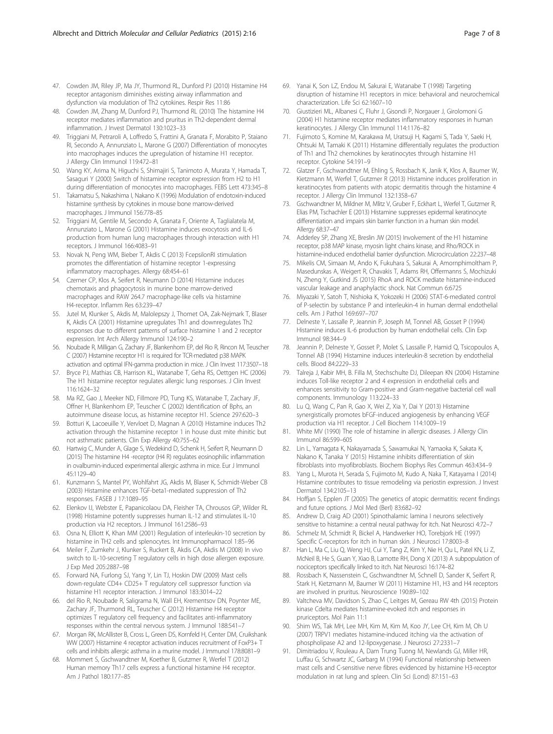- <span id="page-6-0"></span>47. Cowden JM, Riley JP, Ma JY, Thurmond RL, Dunford PJ (2010) Histamine H4 receptor antagonism diminishes existing airway inflammation and dysfunction via modulation of Th2 cytokines. Respir Res 11:86
- 48. Cowden JM, Zhang M, Dunford PJ, Thurmond RL (2010) The histamine H4 receptor mediates inflammation and pruritus in Th2-dependent dermal inflammation. J Invest Dermatol 130:1023–33
- 49. Triggiani M, Petraroli A, Loffredo S, Frattini A, Granata F, Morabito P, Staiano RI, Secondo A, Annunziato L, Marone G (2007) Differentiation of monocytes into macrophages induces the upregulation of histamine H1 receptor. J Allergy Clin Immunol 119:472–81
- 50. Wang KY, Arima N, Higuchi S, Shimajiri S, Tanimoto A, Murata Y, Hamada T, Sasaguri Y (2000) Switch of histamine receptor expression from H2 to H1 during differentiation of monocytes into macrophages. FEBS Lett 473:345–8
- 51. Takamatsu S, Nakashima I, Nakano K (1996) Modulation of endotoxin-induced histamine synthesis by cytokines in mouse bone marrow-derived macrophages. J Immunol 156:778–85
- 52. Triggiani M, Gentile M, Secondo A, Granata F, Oriente A, Taglialatela M, Annunziato L, Marone G (2001) Histamine induces exocytosis and IL-6 production from human lung macrophages through interaction with H1 receptors. J Immunol 166:4083–91
- 53. Novak N, Peng WM, Bieber T, Akdis C (2013) FcepsilonRI stimulation promotes the differentiation of histamine receptor 1-expressing inflammatory macrophages. Allergy 68:454–61
- 54. Czerner CP, Klos A, Seifert R, Neumann D (2014) Histamine induces chemotaxis and phagocytosis in murine bone marrow-derived macrophages and RAW 264.7 macrophage-like cells via histamine H4-receptor. Inflamm Res 63:239–47
- 55. Jutel M, Klunker S, Akdis M, Malolepszy J, Thomet OA, Zak-Nejmark T, Blaser K, Akdis CA (2001) Histamine upregulates Th1 and downregulates Th2 responses due to different patterns of surface histamine 1 and 2 receptor expression. Int Arch Allergy Immunol 124:190–2
- 56. Noubade R, Milligan G, Zachary JF, Blankenhorn EP, del Rio R, Rincon M, Teuscher C (2007) Histamine receptor H1 is required for TCR-mediated p38 MAPK activation and optimal IFN-gamma production in mice. J Clin Invest 117:3507–18
- 57. Bryce PJ, Mathias CB, Harrison KL, Watanabe T, Geha RS, Oettgen HC (2006) The H1 histamine receptor regulates allergic lung responses. J Clin Invest 116:1624–32
- 58. Ma RZ, Gao J, Meeker ND, Fillmore PD, Tung KS, Watanabe T, Zachary JF, Offner H, Blankenhorn EP, Teuscher C (2002) Identification of Bphs, an autoimmune disease locus, as histamine receptor H1. Science 297:620–3
- 59. Botturi K, Lacoeuille Y, Vervloet D, Magnan A (2010) Histamine induces Th2 activation through the histamine receptor 1 in house dust mite rhinitic but not asthmatic patients. Clin Exp Allergy 40:755–62
- 60. Hartwig C, Munder A, Glage S, Wedekind D, Schenk H, Seifert R, Neumann D (2015) The histamine H4 -receptor (H4 R) regulates eosinophilic inflammation in ovalbumin-induced experimental allergic asthma in mice. Eur J Immunol 45:1129–40
- 61. Kunzmann S, Mantel PY, Wohlfahrt JG, Akdis M, Blaser K, Schmidt-Weber CB (2003) Histamine enhances TGF-beta1-mediated suppression of Th2 responses. FASEB J 17:1089–95
- 62. Elenkov IJ, Webster E, Papanicolaou DA, Fleisher TA, Chrousos GP, Wilder RL (1998) Histamine potently suppresses human IL-12 and stimulates IL-10 production via H2 receptors. J Immunol 161:2586–93
- Osna N, Elliott K, Khan MM (2001) Regulation of interleukin-10 secretion by histamine in TH2 cells and splenocytes. Int Immunopharmacol 1:85–96
- 64. Meiler F, Zumkehr J, Klunker S, Ruckert B, Akdis CA, Akdis M (2008) In vivo switch to IL-10-secreting T regulatory cells in high dose allergen exposure. J Exp Med 205:2887–98
- 65. Forward NA, Furlong SJ, Yang Y, Lin TJ, Hoskin DW (2009) Mast cells down-regulate CD4+ CD25+ T regulatory cell suppressor function via histamine H1 receptor interaction. J Immunol 183:3014–22
- 66. del Rio R, Noubade R, Saligrama N, Wall EH, Krementsov DN, Poynter ME, Zachary JF, Thurmond RL, Teuscher C (2012) Histamine H4 receptor optimizes T regulatory cell frequency and facilitates anti-inflammatory responses within the central nervous system. J Immunol 188:541–7
- 67. Morgan RK, McAllister B, Cross L, Green DS, Kornfeld H, Center DM, Cruikshank WW (2007) Histamine 4 receptor activation induces recruitment of FoxP3+ T cells and inhibits allergic asthma in a murine model. J Immunol 178:8081–9
- 68. Mommert S, Gschwandtner M, Koether B, Gutzmer R, Werfel T (2012) Human memory Th17 cells express a functional histamine H4 receptor. Am J Pathol 180:177–85
- 69. Yanai K, Son LZ, Endou M, Sakurai E, Watanabe T (1998) Targeting disruption of histamine H1 receptors in mice: behavioral and neurochemical characterization. Life Sci 62:1607–10
- 70. Giustizieri ML, Albanesi C, Fluhr J, Gisondi P, Norgauer J, Girolomoni G (2004) H1 histamine receptor mediates inflammatory responses in human keratinocytes. J Allergy Clin Immunol 114:1176–82
- 71. Fujimoto S, Komine M, Karakawa M, Uratsuji H, Kagami S, Tada Y, Saeki H, Ohtsuki M, Tamaki K (2011) Histamine differentially regulates the production of Th1 and Th2 chemokines by keratinocytes through histamine H1 receptor. Cytokine 54:191–9
- 72. Glatzer F, Gschwandtner M, Ehling S, Rossbach K, Janik K, Klos A, Baumer W, Kietzmann M, Werfel T, Gutzmer R (2013) Histamine induces proliferation in keratinocytes from patients with atopic dermatitis through the histamine 4 receptor. J Allergy Clin Immunol 132:1358–67
- 73. Gschwandtner M, Mildner M, Mlitz V, Gruber F, Eckhart L, Werfel T, Gutzmer R, Elias PM, Tschachler E (2013) Histamine suppresses epidermal keratinocyte differentiation and impairs skin barrier function in a human skin model. Allergy 68:37–47
- 74. Adderley SP, Zhang XE, Breslin JW (2015) Involvement of the H1 histamine receptor, p38 MAP kinase, myosin light chains kinase, and Rho/ROCK in histamine-induced endothelial barrier dysfunction. Microcirculation 22:237–48
- 75. Mikelis CM, Simaan M, Ando K, Fukuhara S, Sakurai A, Amornphimoltham P, Masedunskas A, Weigert R, Chavakis T, Adams RH, Offermanns S, Mochizuki N, Zheng Y, Gutkind JS (2015) RhoA and ROCK mediate histamine-induced vascular leakage and anaphylactic shock. Nat Commun 6:6725
- 76. Miyazaki Y, Satoh T, Nishioka K, Yokozeki H (2006) STAT-6-mediated control of P-selectin by substance P and interleukin-4 in human dermal endothelial cells. Am J Pathol 169:697–707
- 77. Delneste Y, Lassalle P, Jeannin P, Joseph M, Tonnel AB, Gosset P (1994) Histamine induces IL-6 production by human endothelial cells. Clin Exp Immunol 98:344–9
- 78. Jeannin P, Delneste Y, Gosset P, Molet S, Lassalle P, Hamid Q, Tsicopoulos A, Tonnel AB (1994) Histamine induces interleukin-8 secretion by endothelial cells. Blood 84:2229–33
- 79. Talreja J, Kabir MH, B. Filla M, Stechschulte DJ, Dileepan KN (2004) Histamine induces Toll-like receptor 2 and 4 expression in endothelial cells and enhances sensitivity to Gram-positive and Gram-negative bacterial cell wall components. Immunology 113:224–33
- 80. Lu Q, Wang C, Pan R, Gao X, Wei Z, Xia Y, Dai Y (2013) Histamine synergistically promotes bFGF-induced angiogenesis by enhancing VEGF production via H1 receptor. J Cell Biochem 114:1009–19
- 81. White MV (1990) The role of histamine in allergic diseases. J Allergy Clin Immunol 86:599–605
- 82. Lin L, Yamagata K, Nakayamada S, Sawamukai N, Yamaoka K, Sakata K, Nakano K, Tanaka Y (2015) Histamine inhibits differentiation of skin fibroblasts into myofibroblasts. Biochem Biophys Res Commun 463:434–9
- 83. Yang L, Murota H, Serada S, Fujimoto M, Kudo A, Naka T, Katayama I (2014) Histamine contributes to tissue remodeling via periostin expression. J Invest Dermatol 134:2105–13
- 84. Hoffjan S, Epplen JT (2005) The genetics of atopic dermatitis: recent findings and future options. J Mol Med (Berl) 83:682–92
- 85. Andrew D, Craig AD (2001) Spinothalamic lamina I neurons selectively sensitive to histamine: a central neural pathway for itch. Nat Neurosci 4:72–7
- 86. Schmelz M, Schmidt R, Bickel A, Handwerker HO, Torebjork HE (1997) Specific C-receptors for itch in human skin. J Neurosci 17:8003–8
- 87. Han L, Ma C, Liu Q, Weng HJ, Cui Y, Tang Z, Kim Y, Nie H, Qu L, Patel KN, Li Z, McNeil B, He S, Guan Y, Xiao B, Lamotte RH, Dong X (2013) A subpopulation of nociceptors specifically linked to itch. Nat Neurosci 16:174–82
- 88. Rossbach K, Nassenstein C, Gschwandtner M, Schnell D, Sander K, Seifert R, Stark H, Kietzmann M, Baumer W (2011) Histamine H1, H3 and H4 receptors are involved in pruritus. Neuroscience 190:89–102
- 89. Valtcheva MV, Davidson S, Zhao C, Leitges M, Gereau RW 4th (2015) Protein kinase Cdelta mediates histamine-evoked itch and responses in pruriceptors. Mol Pain 11:1
- 90. Shim WS, Tak MH, Lee MH, Kim M, Kim M, Koo JY, Lee CH, Kim M, Oh U (2007) TRPV1 mediates histamine-induced itching via the activation of phospholipase A2 and 12-lipoxygenase. J Neurosci 27:2331–7
- 91. Dimitriadou V, Rouleau A, Dam Trung Tuong M, Newlands GJ, Miller HR, Luffau G, Schwartz JC, Garbarg M (1994) Functional relationship between mast cells and C-sensitive nerve fibres evidenced by histamine H3-receptor modulation in rat lung and spleen. Clin Sci (Lond) 87:151–63